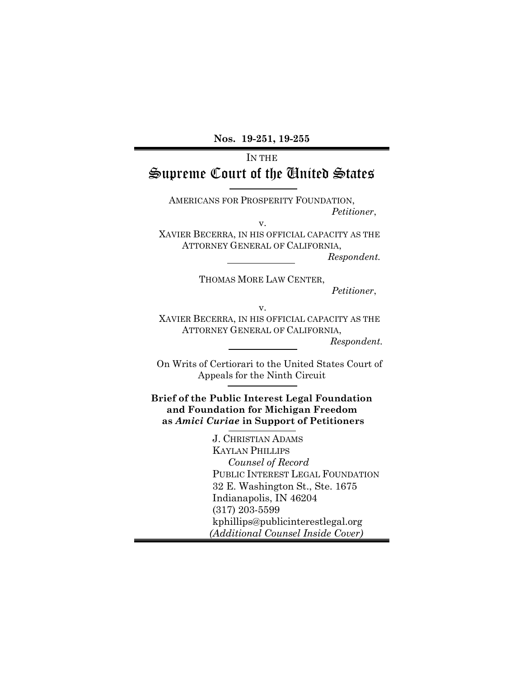**Nos. 19-251, 19-255**

# IN THE Supreme Court of the United States

AMERICANS FOR PROSPERITY FOUNDATION, *Petitioner*,

v.

XAVIER BECERRA, IN HIS OFFICIAL CAPACITY AS THE ATTORNEY GENERAL OF CALIFORNIA,

*Respondent.* 

THOMAS MORE LAW CENTER,

*Petitioner*,

**v. v. v.** 

XAVIER BECERRA, IN HIS OFFICIAL CAPACITY AS THE ATTORNEY GENERAL OF CALIFORNIA,

*Respondent.*

On Writs of Certiorari to the United States Court of Appeals for the Ninth Circuit

**Brief of the Public Interest Legal Foundation and Foundation for Michigan Freedom as** *Amici Curiae* **in Support of Petitioners** 

> J. CHRISTIAN ADAMS KAYLAN PHILLIPS *Counsel of Record* PUBLIC INTEREST LEGAL FOUNDATION 32 E. Washington St., Ste. 1675 Indianapolis, IN 46204 (317) 203-5599 kphillips@publicinterestlegal.org  *(Additional Counsel Inside Cover)*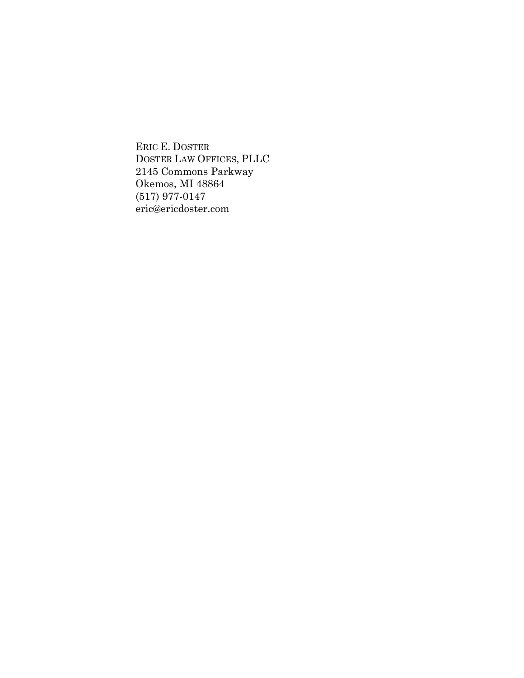ERIC E. DOSTER DOSTER LAW OFFICES, PLLC 2145 Commons Parkway Okemos, MI 48864 (517) 977-0147 eric@ericdoster.com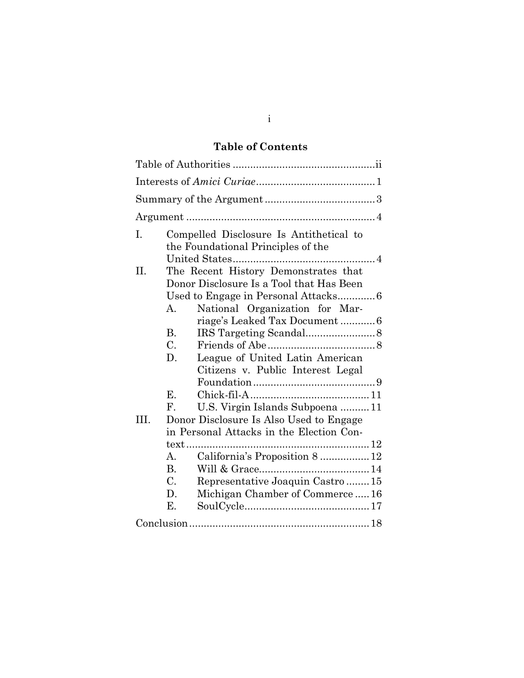# **Table of Contents**

| I.   |                 | Compelled Disclosure Is Antithetical to<br>the Foundational Principles of the    |  |  |  |
|------|-----------------|----------------------------------------------------------------------------------|--|--|--|
| II.  |                 | The Recent History Demonstrates that<br>Donor Disclosure Is a Tool that Has Been |  |  |  |
|      |                 | Used to Engage in Personal Attacks 6                                             |  |  |  |
|      | А.              | National Organization for Mar-<br>riage's Leaked Tax Document6                   |  |  |  |
|      | $\mathbf{B}$ .  |                                                                                  |  |  |  |
|      | $C_{\cdot}$     |                                                                                  |  |  |  |
|      | D.              | League of United Latin American                                                  |  |  |  |
|      |                 | Citizens v. Public Interest Legal                                                |  |  |  |
|      |                 |                                                                                  |  |  |  |
|      | $\mathbf{E}$ .  |                                                                                  |  |  |  |
|      | ${\bf F}$ .     | U.S. Virgin Islands Subpoena  11                                                 |  |  |  |
| III. |                 | Donor Disclosure Is Also Used to Engage                                          |  |  |  |
|      |                 | in Personal Attacks in the Election Con-                                         |  |  |  |
|      | text            |                                                                                  |  |  |  |
|      | A.              | California's Proposition 8  12                                                   |  |  |  |
|      | B.              |                                                                                  |  |  |  |
|      | $\mathcal{C}$ . | Representative Joaquin Castro15                                                  |  |  |  |
|      | D.              | Michigan Chamber of Commerce16                                                   |  |  |  |
|      | Е.              |                                                                                  |  |  |  |
|      |                 |                                                                                  |  |  |  |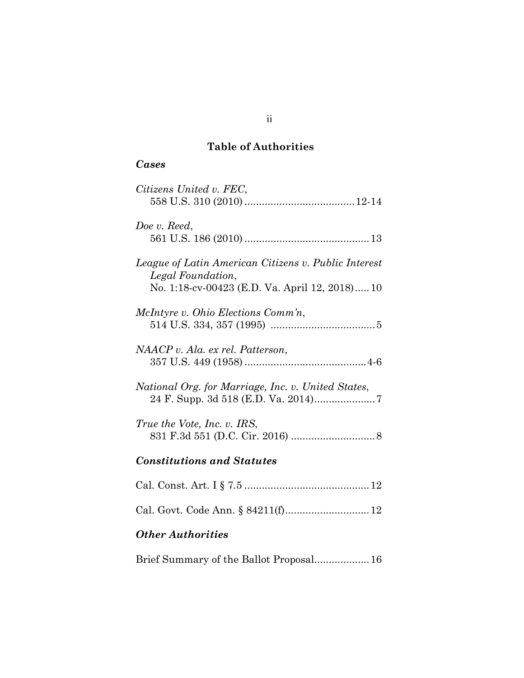# **Table of Authorities**

# *Cases*

| Citizens United v. FEC,                                                                                                    |
|----------------------------------------------------------------------------------------------------------------------------|
| Doe v. Reed,                                                                                                               |
| League of Latin American Citizens v. Public Interest<br>Legal Foundation,<br>No. 1:18-cv-00423 (E.D. Va. April 12, 2018)10 |
| McIntyre v. Ohio Elections Comm'n,                                                                                         |
| NAACP v. Ala. ex rel. Patterson,                                                                                           |
| National Org. for Marriage, Inc. v. United States,                                                                         |
| True the Vote, Inc. v. IRS,                                                                                                |
| <b>Constitutions and Statutes</b>                                                                                          |
|                                                                                                                            |
| Cal. Govt. Code Ann. § 84211(f) 12                                                                                         |
| <b>Other Authorities</b>                                                                                                   |
| Brief Summary of the Ballot Proposal 16                                                                                    |

ii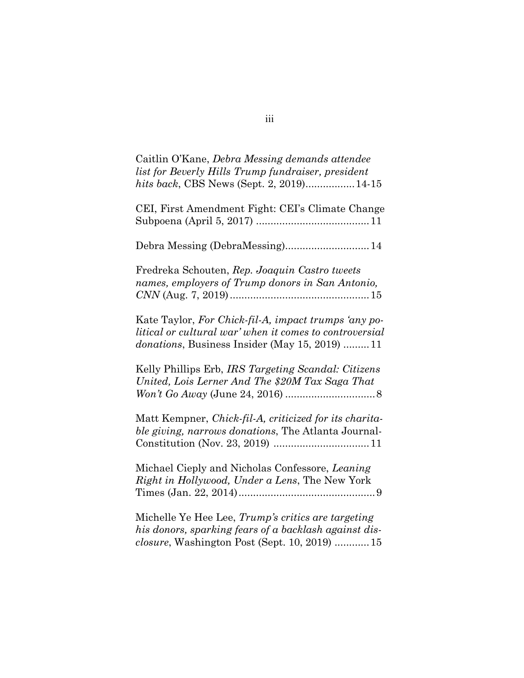| Caitlin O'Kane, Debra Messing demands attendee<br>list for Beverly Hills Trump fundraiser, president<br>hits back, CBS News (Sept. 2, 2019) 14-15                        |
|--------------------------------------------------------------------------------------------------------------------------------------------------------------------------|
| CEI, First Amendment Fight: CEI's Climate Change                                                                                                                         |
| Debra Messing (DebraMessing) 14                                                                                                                                          |
| Fredreka Schouten, Rep. Joaquin Castro tweets<br>names, employers of Trump donors in San Antonio,                                                                        |
| Kate Taylor, For Chick-fil-A, impact trumps 'any po-<br>litical or cultural war' when it comes to controversial<br><i>donations</i> , Business Insider (May 15, 2019) 11 |
| Kelly Phillips Erb, IRS Targeting Scandal: Citizens<br>United, Lois Lerner And The \$20M Tax Saga That                                                                   |
| Matt Kempner, Chick-fil-A, criticized for its charita-<br>ble giving, narrows donations, The Atlanta Journal-                                                            |
| Michael Cieply and Nicholas Confessore, Leaning<br>Right in Hollywood, Under a Lens, The New York                                                                        |
| Michelle Ye Hee Lee, Trump's critics are targeting<br>his donors, sparking fears of a backlash against dis-<br>closure, Washington Post (Sept. 10, 2019)  15             |

iii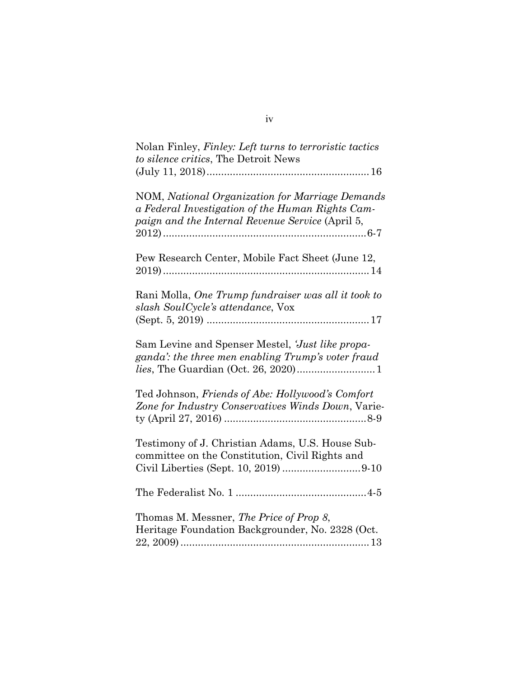| Nolan Finley, Finley: Left turns to terroristic tactics<br>to silence critics, The Detroit News              |
|--------------------------------------------------------------------------------------------------------------|
| NOM, National Organization for Marriage Demands                                                              |
| a Federal Investigation of the Human Rights Cam-<br>paign and the Internal Revenue Service (April 5,         |
| Pew Research Center, Mobile Fact Sheet (June 12,                                                             |
| Rani Molla, One Trump fundraiser was all it took to<br>slash SoulCycle's attendance, Vox                     |
|                                                                                                              |
| Sam Levine and Spenser Mestel, <i>Just like propa-</i><br>ganda': the three men enabling Trump's voter fraud |
| Ted Johnson, Friends of Abe: Hollywood's Comfort<br>Zone for Industry Conservatives Winds Down, Varie-       |
| Testimony of J. Christian Adams, U.S. House Sub-<br>committee on the Constitution, Civil Rights and          |
|                                                                                                              |
| Thomas M. Messner, The Price of Prop 8,<br>Heritage Foundation Backgrounder, No. 2328 (Oct.                  |
|                                                                                                              |

iv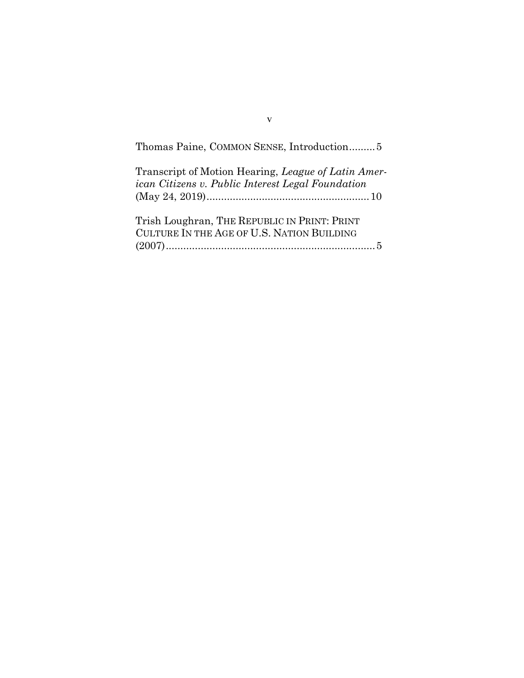| Thomas Paine, COMMON SENSE, Introduction5                                                                |  |
|----------------------------------------------------------------------------------------------------------|--|
| Transcript of Motion Hearing, League of Latin Amer-<br>ican Citizens v. Public Interest Legal Foundation |  |
| Trish Loughran, THE REPUBLIC IN PRINT: PRINT<br>CULTURE IN THE AGE OF U.S. NATION BUILDING               |  |

v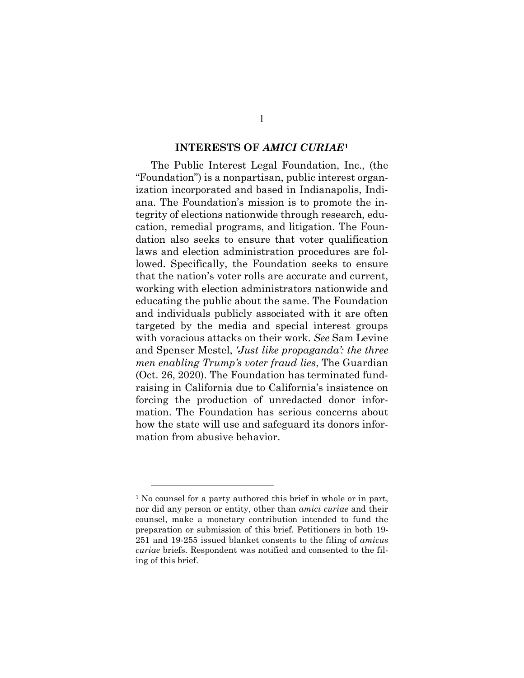#### **INTERESTS OF** *AMICI CURIAE***[1](#page-7-0)**

The Public Interest Legal Foundation, Inc., (the "Foundation") is a nonpartisan, public interest organization incorporated and based in Indianapolis, Indiana. The Foundation's mission is to promote the integrity of elections nationwide through research, education, remedial programs, and litigation. The Foundation also seeks to ensure that voter qualification laws and election administration procedures are followed. Specifically, the Foundation seeks to ensure that the nation's voter rolls are accurate and current, working with election administrators nationwide and educating the public about the same. The Foundation and individuals publicly associated with it are often targeted by the media and special interest groups with voracious attacks on their work. *See* Sam Levine and Spenser Mestel, *'Just like propaganda': the three men enabling Trump's voter fraud lies*, The Guardian (Oct. 26, 2020). The Foundation has terminated fundraising in California due to California's insistence on forcing the production of unredacted donor information. The Foundation has serious concerns about how the state will use and safeguard its donors information from abusive behavior.

<span id="page-7-0"></span><sup>&</sup>lt;sup>1</sup> No counsel for a party authored this brief in whole or in part, nor did any person or entity, other than *amici curiae* and their counsel, make a monetary contribution intended to fund the preparation or submission of this brief. Petitioners in both 19- 251 and 19-255 issued blanket consents to the filing of *amicus curiae* briefs. Respondent was notified and consented to the filing of this brief.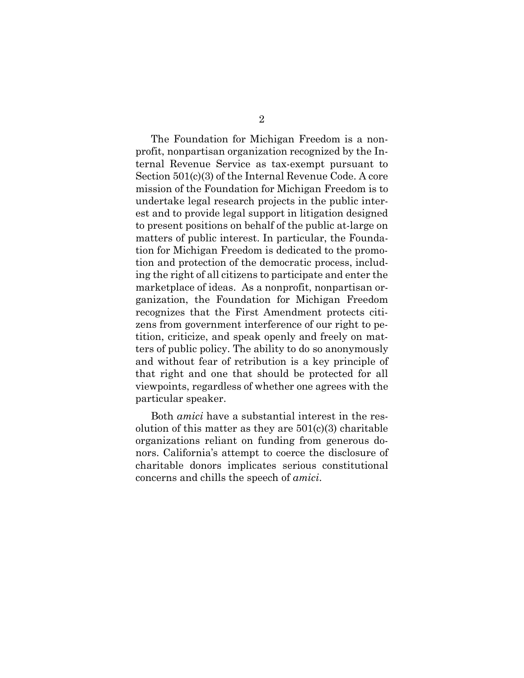The Foundation for Michigan Freedom is a nonprofit, nonpartisan organization recognized by the Internal Revenue Service as tax-exempt pursuant to Section 501(c)(3) of the Internal Revenue Code. A core mission of the Foundation for Michigan Freedom is to undertake legal research projects in the public interest and to provide legal support in litigation designed to present positions on behalf of the public at-large on matters of public interest. In particular, the Foundation for Michigan Freedom is dedicated to the promotion and protection of the democratic process, including the right of all citizens to participate and enter the marketplace of ideas. As a nonprofit, nonpartisan organization, the Foundation for Michigan Freedom recognizes that the First Amendment protects citizens from government interference of our right to petition, criticize, and speak openly and freely on matters of public policy. The ability to do so anonymously and without fear of retribution is a key principle of that right and one that should be protected for all viewpoints, regardless of whether one agrees with the particular speaker.

Both *amici* have a substantial interest in the resolution of this matter as they are  $501(c)(3)$  charitable organizations reliant on funding from generous donors. California's attempt to coerce the disclosure of charitable donors implicates serious constitutional concerns and chills the speech of *amici*.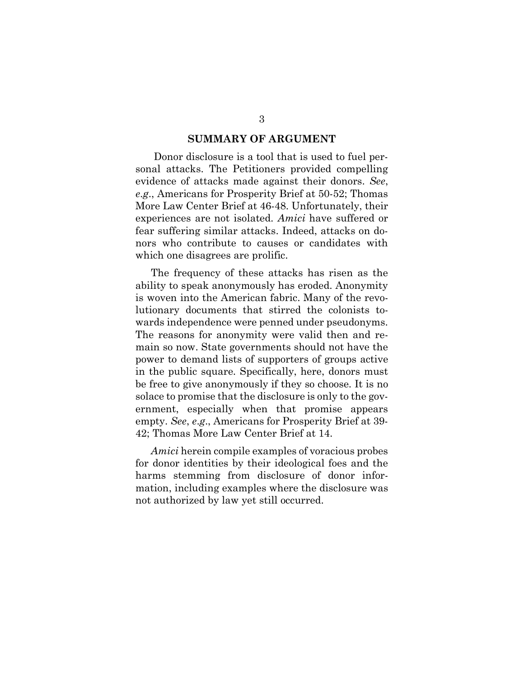#### **SUMMARY OF ARGUMENT**

 Donor disclosure is a tool that is used to fuel personal attacks. The Petitioners provided compelling evidence of attacks made against their donors. *See*, *e*.*g*., Americans for Prosperity Brief at 50-52; Thomas More Law Center Brief at 46-48. Unfortunately, their experiences are not isolated. *Amici* have suffered or fear suffering similar attacks. Indeed, attacks on donors who contribute to causes or candidates with which one disagrees are prolific.

The frequency of these attacks has risen as the ability to speak anonymously has eroded. Anonymity is woven into the American fabric. Many of the revolutionary documents that stirred the colonists towards independence were penned under pseudonyms. The reasons for anonymity were valid then and remain so now. State governments should not have the power to demand lists of supporters of groups active in the public square. Specifically, here, donors must be free to give anonymously if they so choose. It is no solace to promise that the disclosure is only to the government, especially when that promise appears empty. *See*, *e*.*g*., Americans for Prosperity Brief at 39- 42; Thomas More Law Center Brief at 14.

*Amici* herein compile examples of voracious probes for donor identities by their ideological foes and the harms stemming from disclosure of donor information, including examples where the disclosure was not authorized by law yet still occurred.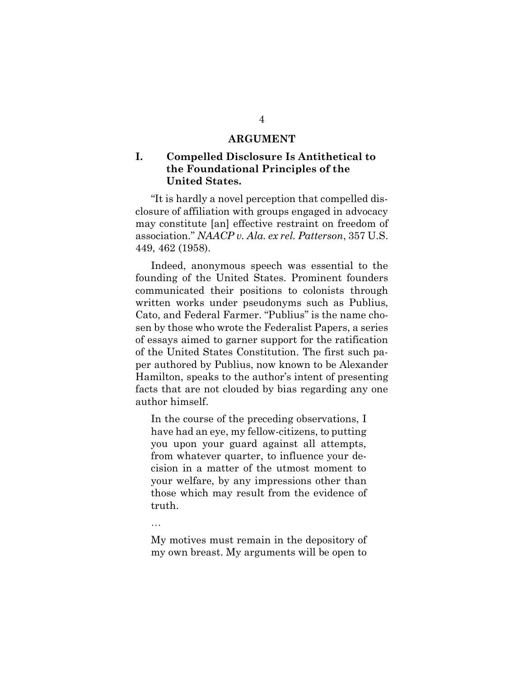#### **ARGUMENT**

# **I. Compelled Disclosure Is Antithetical to the Foundational Principles of the United States.**

"It is hardly a novel perception that compelled disclosure of affiliation with groups engaged in advocacy may constitute [an] effective restraint on freedom of association." *NAACP v. Ala. ex rel. Patterson*, 357 U.S. 449, 462 (1958).

Indeed, anonymous speech was essential to the founding of the United States. Prominent founders communicated their positions to colonists through written works under pseudonyms such as Publius, Cato, and Federal Farmer. "Publius" is the name chosen by those who wrote the Federalist Papers, a series of essays aimed to garner support for the ratification of the United States Constitution. The first such paper authored by Publius, now known to be Alexander Hamilton, speaks to the author's intent of presenting facts that are not clouded by bias regarding any one author himself.

In the course of the preceding observations, I have had an eye, my fellow-citizens, to putting you upon your guard against all attempts, from whatever quarter, to influence your decision in a matter of the utmost moment to your welfare, by any impressions other than those which may result from the evidence of truth.

…

My motives must remain in the depository of my own breast. My arguments will be open to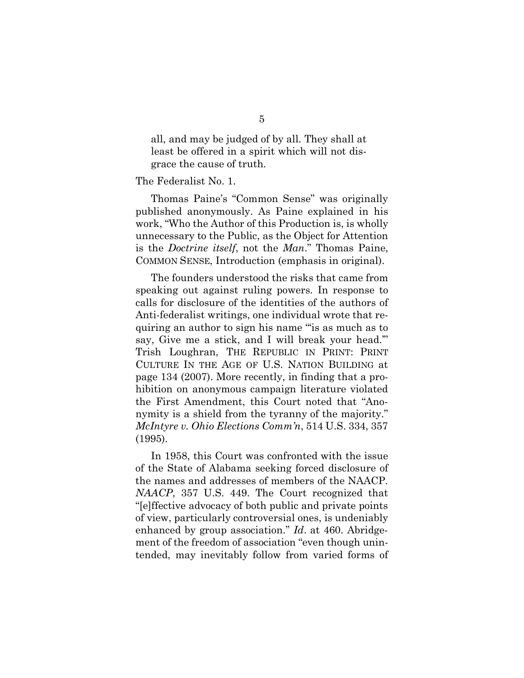all, and may be judged of by all. They shall at least be offered in a spirit which will not disgrace the cause of truth.

#### The Federalist No. 1.

Thomas Paine's "Common Sense" was originally published anonymously. As Paine explained in his work, "Who the Author of this Production is, is wholly unnecessary to the Public, as the Object for Attention is the *Doctrine itself*, not the *Man*." Thomas Paine, COMMON SENSE, Introduction (emphasis in original).

The founders understood the risks that came from speaking out against ruling powers. In response to calls for disclosure of the identities of the authors of Anti-federalist writings, one individual wrote that requiring an author to sign his name "'is as much as to say, Give me a stick, and I will break your head.'" Trish Loughran, THE REPUBLIC IN PRINT: PRINT CULTURE IN THE AGE OF U.S. NATION BUILDING at page 134 (2007). More recently, in finding that a prohibition on anonymous campaign literature violated the First Amendment, this Court noted that "Anonymity is a shield from the tyranny of the majority." *McIntyre v. Ohio Elections Comm'n*, 514 U.S. 334, 357 (1995).

In 1958, this Court was confronted with the issue of the State of Alabama seeking forced disclosure of the names and addresses of members of the NAACP. *NAACP*, 357 U.S. 449. The Court recognized that "[e]ffective advocacy of both public and private points of view, particularly controversial ones, is undeniably enhanced by group association." *Id*. at 460. Abridgement of the freedom of association "even though unintended, may inevitably follow from varied forms of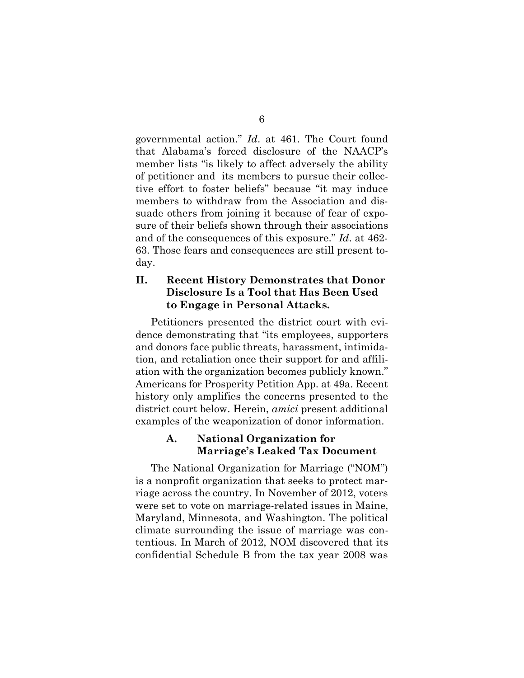governmental action." *Id*. at 461. The Court found that Alabama's forced disclosure of the NAACP's member lists "is likely to affect adversely the ability of petitioner and its members to pursue their collective effort to foster beliefs" because "it may induce members to withdraw from the Association and dissuade others from joining it because of fear of exposure of their beliefs shown through their associations and of the consequences of this exposure." *Id*. at 462- 63. Those fears and consequences are still present today.

# **II. Recent History Demonstrates that Donor Disclosure Is a Tool that Has Been Used to Engage in Personal Attacks.**

Petitioners presented the district court with evidence demonstrating that "its employees, supporters and donors face public threats, harassment, intimidation, and retaliation once their support for and affiliation with the organization becomes publicly known." Americans for Prosperity Petition App. at 49a. Recent history only amplifies the concerns presented to the district court below. Herein, *amici* present additional examples of the weaponization of donor information.

# **A. National Organization for Marriage's Leaked Tax Document**

The National Organization for Marriage ("NOM") is a nonprofit organization that seeks to protect marriage across the country. In November of 2012, voters were set to vote on marriage-related issues in Maine, Maryland, Minnesota, and Washington. The political climate surrounding the issue of marriage was contentious. In March of 2012, NOM discovered that its confidential Schedule B from the tax year 2008 was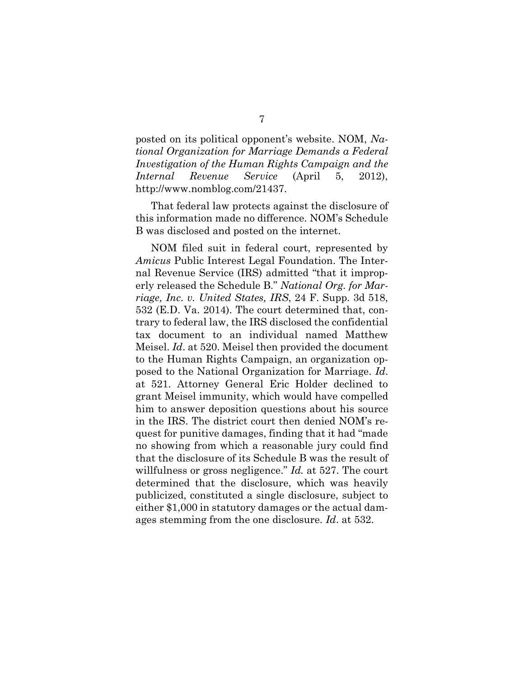posted on its political opponent's website. NOM, *National Organization for Marriage Demands a Federal Investigation of the Human Rights Campaign and the Internal Revenue Service* (April 5, 2012), http://www.nomblog.com/21437.

That federal law protects against the disclosure of this information made no difference. NOM's Schedule B was disclosed and posted on the internet.

NOM filed suit in federal court, represented by *Amicus* Public Interest Legal Foundation. The Internal Revenue Service (IRS) admitted "that it improperly released the Schedule B." *National Org. for Marriage, Inc. v. United States, IRS*, 24 F. Supp. 3d 518, 532 (E.D. Va. 2014). The court determined that, contrary to federal law, the IRS disclosed the confidential tax document to an individual named Matthew Meisel. *Id*. at 520. Meisel then provided the document to the Human Rights Campaign, an organization opposed to the National Organization for Marriage. *Id*. at 521. Attorney General Eric Holder declined to grant Meisel immunity, which would have compelled him to answer deposition questions about his source in the IRS. The district court then denied NOM's request for punitive damages, finding that it had "made no showing from which a reasonable jury could find that the disclosure of its Schedule B was the result of willfulness or gross negligence." *Id.* at 527. The court determined that the disclosure, which was heavily publicized, constituted a single disclosure, subject to either \$1,000 in statutory damages or the actual damages stemming from the one disclosure. *Id*. at 532.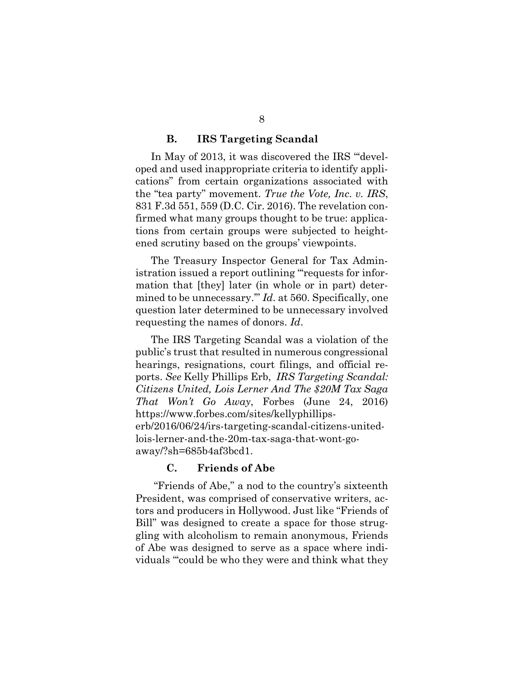#### **B. IRS Targeting Scandal**

In May of 2013, it was discovered the IRS "'developed and used inappropriate criteria to identify applications" from certain organizations associated with the "tea party" movement. *True the Vote, Inc. v. IRS*, 831 F.3d 551, 559 (D.C. Cir. 2016). The revelation confirmed what many groups thought to be true: applications from certain groups were subjected to heightened scrutiny based on the groups' viewpoints.

The Treasury Inspector General for Tax Administration issued a report outlining "'requests for information that [they] later (in whole or in part) determined to be unnecessary.'" *Id*. at 560. Specifically, one question later determined to be unnecessary involved requesting the names of donors. *Id*.

The IRS Targeting Scandal was a violation of the public's trust that resulted in numerous congressional hearings, resignations, court filings, and official reports. *See* Kelly Phillips Erb, *IRS Targeting Scandal: Citizens United, Lois Lerner And The \$20M Tax Saga That Won't Go Away*, Forbes (June 24, 2016) https://www.forbes.com/sites/kellyphillipserb/2016/06/24/irs-targeting-scandal-citizens-unitedlois-lerner-and-the-20m-tax-saga-that-wont-goaway/?sh=685b4af3bcd1.

#### **C. Friends of Abe**

"Friends of Abe," a nod to the country's sixteenth President, was comprised of conservative writers, actors and producers in Hollywood. Just like "Friends of Bill" was designed to create a space for those struggling with alcoholism to remain anonymous, Friends of Abe was designed to serve as a space where individuals "'could be who they were and think what they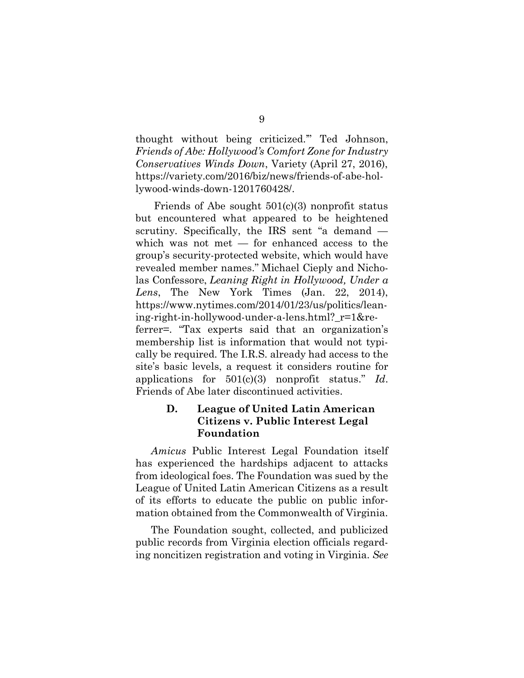thought without being criticized.'" Ted Johnson, *Friends of Abe: Hollywood's Comfort Zone for Industry Conservatives Winds Down*, Variety (April 27, 2016), https://variety.com/2016/biz/news/friends-of-abe-hollywood-winds-down-1201760428/.

Friends of Abe sought  $501(c)(3)$  nonprofit status but encountered what appeared to be heightened scrutiny. Specifically, the IRS sent "a demand which was not met — for enhanced access to the group's security-protected website, which would have revealed member names." Michael Cieply and Nicholas Confessore, *Leaning Right in Hollywood, Under a Lens*, The New York Times (Jan. 22, 2014), https://www.nytimes.com/2014/01/23/us/politics/leaning-right-in-hollywood-under-a-lens.html?\_r=1&referrer=. "Tax experts said that an organization's membership list is information that would not typically be required. The I.R.S. already had access to the site's basic levels, a request it considers routine for applications for 501(c)(3) nonprofit status." *Id*. Friends of Abe later discontinued activities.

# **D. League of United Latin American Citizens v. Public Interest Legal Foundation**

*Amicus* Public Interest Legal Foundation itself has experienced the hardships adjacent to attacks from ideological foes. The Foundation was sued by the League of United Latin American Citizens as a result of its efforts to educate the public on public information obtained from the Commonwealth of Virginia.

The Foundation sought, collected, and publicized public records from Virginia election officials regarding noncitizen registration and voting in Virginia. *See*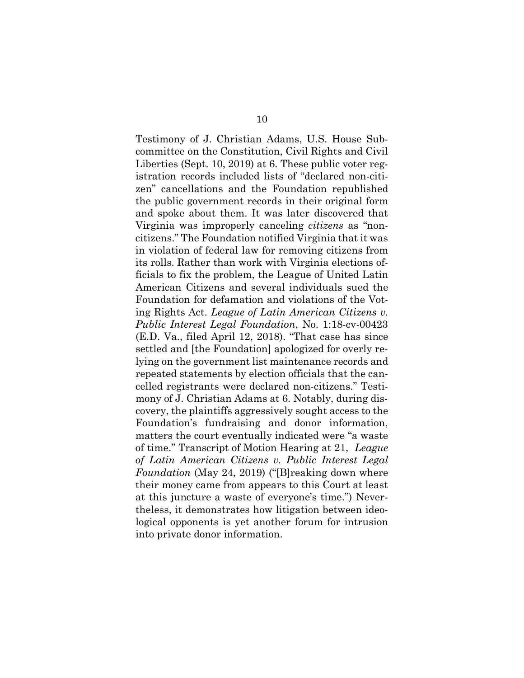Testimony of J. Christian Adams, U.S. House Subcommittee on the Constitution, Civil Rights and Civil Liberties (Sept. 10, 2019) at 6. These public voter registration records included lists of "declared non-citizen" cancellations and the Foundation republished the public government records in their original form and spoke about them. It was later discovered that Virginia was improperly canceling *citizens* as "noncitizens." The Foundation notified Virginia that it was in violation of federal law for removing citizens from its rolls. Rather than work with Virginia elections officials to fix the problem, the League of United Latin American Citizens and several individuals sued the Foundation for defamation and violations of the Voting Rights Act. *League of Latin American Citizens v. Public Interest Legal Foundation*, No. 1:18-cv-00423 (E.D. Va., filed April 12, 2018). "That case has since settled and [the Foundation] apologized for overly relying on the government list maintenance records and repeated statements by election officials that the cancelled registrants were declared non-citizens." Testimony of J. Christian Adams at 6. Notably, during discovery, the plaintiffs aggressively sought access to the Foundation's fundraising and donor information, matters the court eventually indicated were "a waste of time." Transcript of Motion Hearing at 21, *League of Latin American Citizens v. Public Interest Legal Foundation* (May 24, 2019) ("[B]reaking down where their money came from appears to this Court at least at this juncture a waste of everyone's time.") Nevertheless, it demonstrates how litigation between ideological opponents is yet another forum for intrusion into private donor information.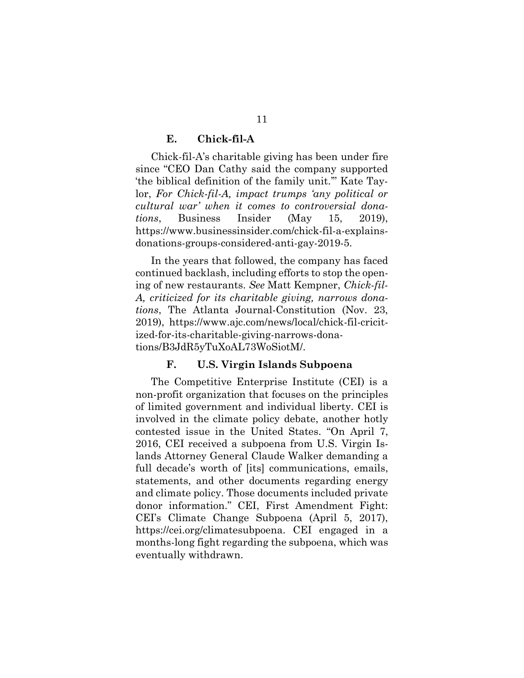#### **E. Chick-fil-A**

Chick-fil-A's charitable giving has been under fire since "CEO Dan Cathy said the company supported 'the biblical definition of the family unit.'" Kate Taylor, *For Chick-fil-A, impact trumps 'any political or cultural war' when it comes to controversial donations*, Business Insider (May 15, 2019), https://www.businessinsider.com/chick-fil-a-explainsdonations-groups-considered-anti-gay-2019-5.

In the years that followed, the company has faced continued backlash, including efforts to stop the opening of new restaurants. *See* Matt Kempner, *Chick-fil-A, criticized for its charitable giving, narrows donations*, The Atlanta Journal-Constitution (Nov. 23, 2019), https://www.ajc.com/news/local/chick-fil-cricitized-for-its-charitable-giving-narrows-donations/B3JdR5yTuXoAL73WoSiotM/.

#### **F. U.S. Virgin Islands Subpoena**

The Competitive Enterprise Institute (CEI) is a non-profit organization that focuses on the principles of limited government and individual liberty. CEI is involved in the climate policy debate, another hotly contested issue in the United States. "On April 7, 2016, CEI received a subpoena from U.S. Virgin Islands Attorney General Claude Walker demanding a full decade's worth of [its] communications, emails, statements, and other documents regarding energy and climate policy. Those documents included private donor information." CEI, First Amendment Fight: CEI's Climate Change Subpoena (April 5, 2017), https://cei.org/climatesubpoena. CEI engaged in a months-long fight regarding the subpoena, which was eventually withdrawn.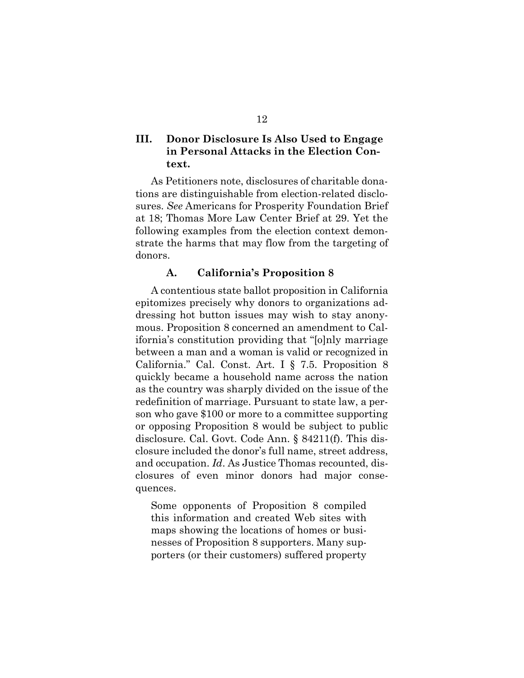# **III. Donor Disclosure Is Also Used to Engage in Personal Attacks in the Election Context.**

As Petitioners note, disclosures of charitable donations are distinguishable from election-related disclosures. *See* Americans for Prosperity Foundation Brief at 18; Thomas More Law Center Brief at 29. Yet the following examples from the election context demonstrate the harms that may flow from the targeting of donors.

### **A. California's Proposition 8**

A contentious state ballot proposition in California epitomizes precisely why donors to organizations addressing hot button issues may wish to stay anonymous. Proposition 8 concerned an amendment to California's constitution providing that "[o]nly marriage between a man and a woman is valid or recognized in California." Cal. Const. Art. I § 7.5. Proposition 8 quickly became a household name across the nation as the country was sharply divided on the issue of the redefinition of marriage. Pursuant to state law, a person who gave \$100 or more to a committee supporting or opposing Proposition 8 would be subject to public disclosure. Cal. Govt. Code Ann. § 84211(f). This disclosure included the donor's full name, street address, and occupation. *Id*. As Justice Thomas recounted, disclosures of even minor donors had major consequences.

Some opponents of Proposition 8 compiled this information and created Web sites with maps showing the locations of homes or businesses of Proposition 8 supporters. Many supporters (or their customers) suffered property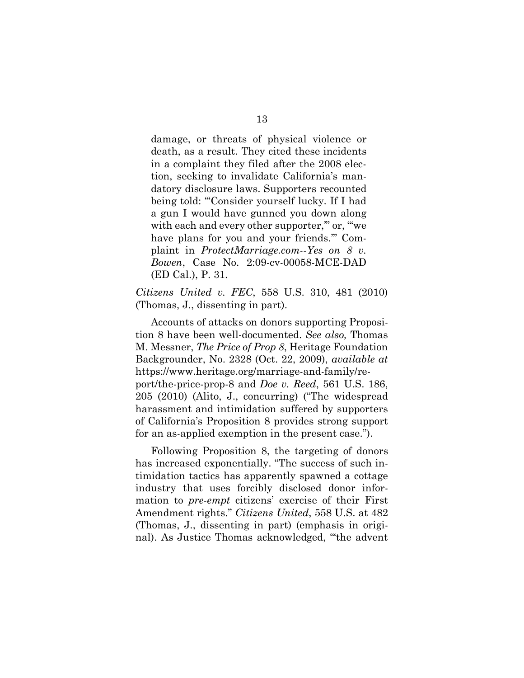damage, or threats of physical violence or death, as a result. They cited these incidents in a complaint they filed after the 2008 election, seeking to invalidate California's mandatory disclosure laws. Supporters recounted being told: "'Consider yourself lucky. If I had a gun I would have gunned you down along with each and every other supporter," or, "we have plans for you and your friends.'" Complaint in *ProtectMarriage.com*--*Yes on 8 v. Bowen*, Case No. 2:09-cv-00058-MCE-DAD (ED Cal.), P. 31.

*Citizens United v. FEC*, 558 U.S. 310, 481 (2010) (Thomas, J., dissenting in part).

Accounts of attacks on donors supporting Proposition 8 have been well-documented. *See also,* Thomas M. Messner, *The Price of Prop 8*, Heritage Foundation Backgrounder, No. 2328 (Oct. 22, 2009), *available at* https://www.heritage.org/marriage-and-family/report/the-price-prop-8 and *Doe v. Reed*, 561 U.S. 186, 205 (2010) (Alito, J., concurring) ("The widespread harassment and intimidation suffered by supporters of California's Proposition 8 provides strong support for an as-applied exemption in the present case.").

Following Proposition 8, the targeting of donors has increased exponentially. "The success of such intimidation tactics has apparently spawned a cottage industry that uses forcibly disclosed donor information to *pre-empt* citizens' exercise of their First Amendment rights." *Citizens United*, 558 U.S. at 482 (Thomas, J., dissenting in part) (emphasis in original). As Justice Thomas acknowledged, "'the advent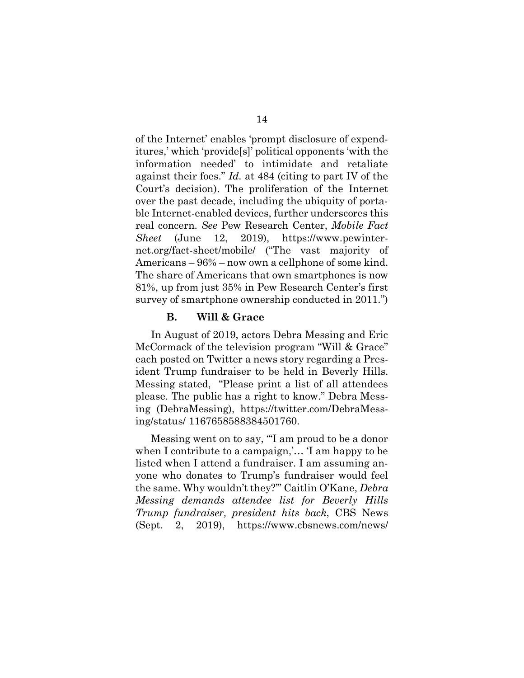of the Internet' enables 'prompt disclosure of expenditures,' which 'provide[s]' political opponents 'with the information needed' to intimidate and retaliate against their foes." *Id.* at 484 (citing to part IV of the Court's decision). The proliferation of the Internet over the past decade, including the ubiquity of portable Internet-enabled devices, further underscores this real concern. *See* Pew Research Center, *Mobile Fact Sheet* (June 12, 2019), https://www.pewinternet.org/fact-sheet/mobile/ ("The vast majority of Americans – 96% – now own a cellphone of some kind. The share of Americans that own smartphones is now 81%, up from just 35% in Pew Research Center's first survey of smartphone ownership conducted in 2011.")

#### **B. Will & Grace**

In August of 2019, actors Debra Messing and Eric McCormack of the television program "Will & Grace" each posted on Twitter a news story regarding a President Trump fundraiser to be held in Beverly Hills. Messing stated, "Please print a list of all attendees please. The public has a right to know." Debra Messing (DebraMessing), https://twitter.com/DebraMessing/status/ 1167658588384501760.

Messing went on to say, "'I am proud to be a donor when I contribute to a campaign,'… 'I am happy to be listed when I attend a fundraiser. I am assuming anyone who donates to Trump's fundraiser would feel the same. Why wouldn't they?'" Caitlin O'Kane, *Debra Messing demands attendee list for Beverly Hills Trump fundraiser, president hits back*, CBS News (Sept. 2, 2019), https://www.cbsnews.com/news/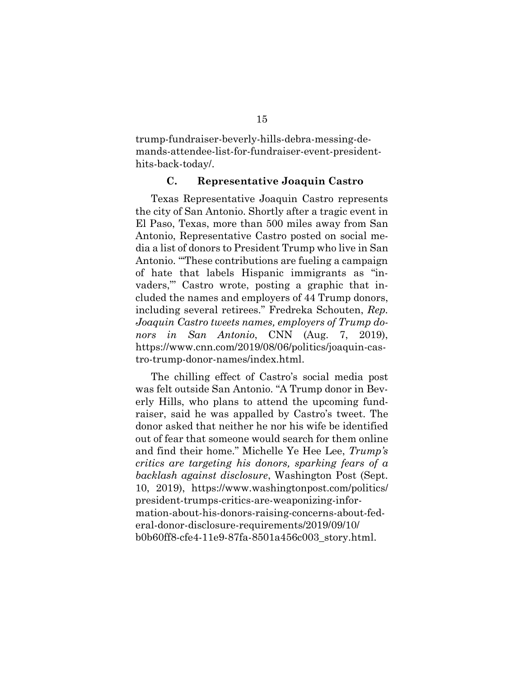trump-fundraiser-beverly-hills-debra-messing-demands-attendee-list-for-fundraiser-event-presidenthits-back-today/.

#### **C. Representative Joaquin Castro**

Texas Representative Joaquin Castro represents the city of San Antonio. Shortly after a tragic event in El Paso, Texas, more than 500 miles away from San Antonio, Representative Castro posted on social media a list of donors to President Trump who live in San Antonio. "'These contributions are fueling a campaign of hate that labels Hispanic immigrants as "invaders,"' Castro wrote, posting a graphic that included the names and employers of 44 Trump donors, including several retirees." Fredreka Schouten, *Rep. Joaquin Castro tweets names, employers of Trump donors in San Antonio*, CNN (Aug. 7, 2019), https://www.cnn.com/2019/08/06/politics/joaquin-castro-trump-donor-names/index.html.

The chilling effect of Castro's social media post was felt outside San Antonio. "A Trump donor in Beverly Hills, who plans to attend the upcoming fundraiser, said he was appalled by Castro's tweet. The donor asked that neither he nor his wife be identified out of fear that someone would search for them online and find their home." Michelle Ye Hee Lee, *Trump's critics are targeting his donors, sparking fears of a backlash against disclosure*, Washington Post (Sept. 10, 2019), https://www.washingtonpost.com/politics/ president-trumps-critics-are-weaponizing-information-about-his-donors-raising-concerns-about-federal-donor-disclosure-requirements/2019/09/10/ b0b60ff8-cfe4-11e9-87fa-8501a456c003\_story.html.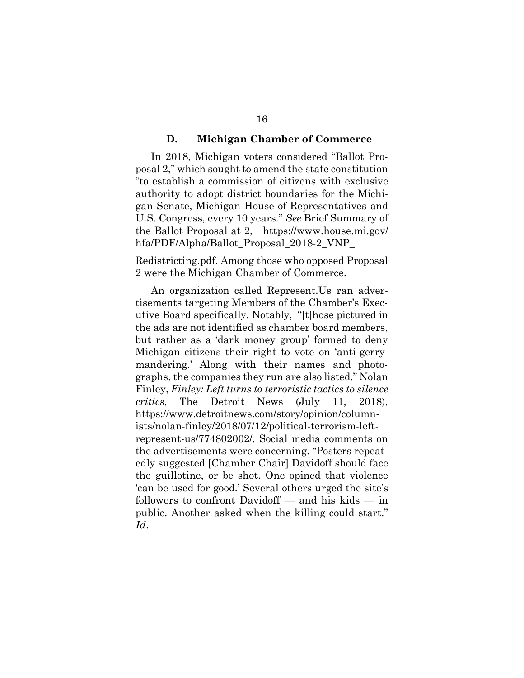#### **D. Michigan Chamber of Commerce**

In 2018, Michigan voters considered "Ballot Proposal 2," which sought to amend the state constitution "to establish a commission of citizens with exclusive authority to adopt district boundaries for the Michigan Senate, Michigan House of Representatives and U.S. Congress, every 10 years." *See* Brief Summary of the Ballot Proposal at 2, https://www.house.mi.gov/ hfa/PDF/Alpha/Ballot\_Proposal\_2018-2\_VNP\_

Redistricting.pdf. Among those who opposed Proposal 2 were the Michigan Chamber of Commerce.

An organization called Represent.Us ran advertisements targeting Members of the Chamber's Executive Board specifically. Notably, "[t]hose pictured in the ads are not identified as chamber board members, but rather as a 'dark money group' formed to deny Michigan citizens their right to vote on 'anti-gerrymandering.' Along with their names and photographs, the companies they run are also listed." Nolan Finley, *Finley: Left turns to terroristic tactics to silence critics*, The Detroit News (July 11, 2018), https://www.detroitnews.com/story/opinion/columnists/nolan-finley/2018/07/12/political-terrorism-leftrepresent-us/774802002/. Social media comments on the advertisements were concerning. "Posters repeatedly suggested [Chamber Chair] Davidoff should face the guillotine, or be shot. One opined that violence 'can be used for good.' Several others urged the site's followers to confront Davidoff — and his kids — in public. Another asked when the killing could start." *Id*.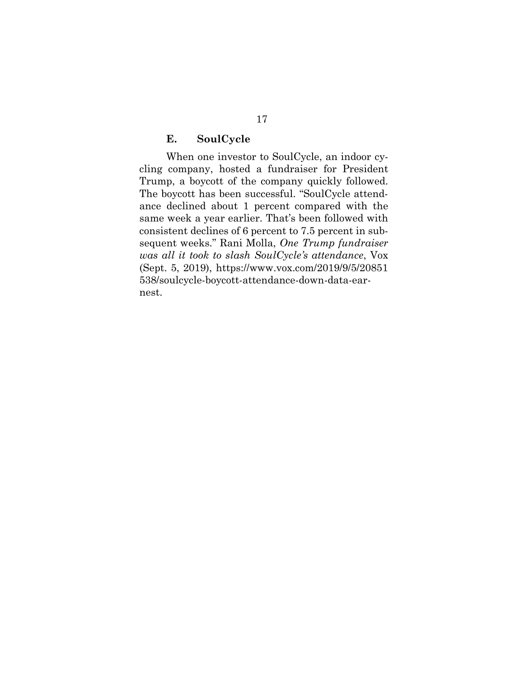### **E. SoulCycle**

When one investor to SoulCycle, an indoor cycling company, hosted a fundraiser for President Trump, a boycott of the company quickly followed. The boycott has been successful. "SoulCycle attendance declined about 1 percent compared with the same week a year earlier. That's been followed with consistent declines of 6 percent to 7.5 percent in subsequent weeks." Rani Molla, *One Trump fundraiser was all it took to slash SoulCycle's attendance*, Vox (Sept. 5, 2019), https://www.vox.com/2019/9/5/20851 538/soulcycle-boycott-attendance-down-data-earnest.